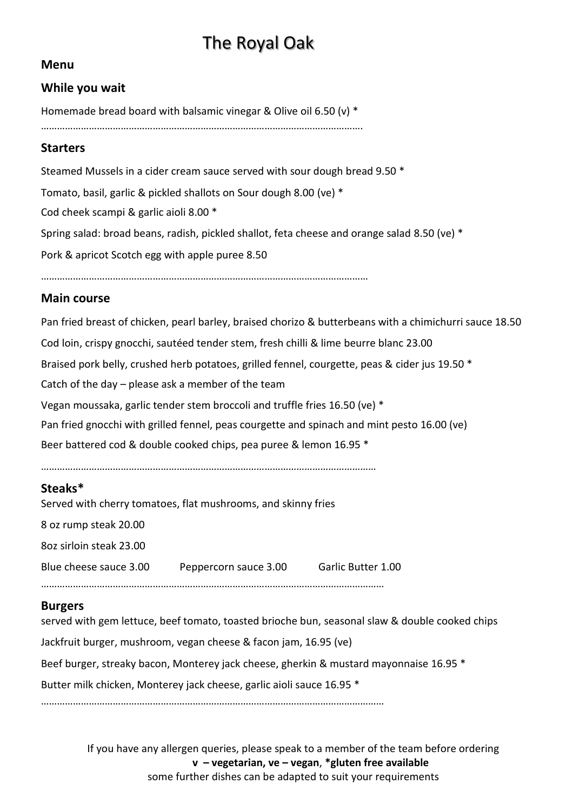# The Royal Oak

## **Menu**

## **While you wait**

Homemade bread board with balsamic vinegar & Olive oil 6.50 (v) \*

………………………………………………………………………………………………………….

#### **Starters**

Steamed Mussels in a cider cream sauce served with sour dough bread 9.50 \* Tomato, basil, garlic & pickled shallots on Sour dough 8.00 (ve) \* Cod cheek scampi & garlic aioli 8.00 \* Spring salad: broad beans, radish, pickled shallot, feta cheese and orange salad 8.50 (ve) \* Pork & apricot Scotch egg with apple puree 8.50

……………………………………………………………………………………………………………

## **Main course**

Pan fried breast of chicken, pearl barley, braised chorizo & butterbeans with a chimichurri sauce 18.50 Cod loin, crispy gnocchi, sautéed tender stem, fresh chilli & lime beurre blanc 23.00 Braised pork belly, crushed herb potatoes, grilled fennel, courgette, peas & cider jus 19.50 \* Catch of the day – please ask a member of the team Vegan moussaka, garlic tender stem broccoli and truffle fries 16.50 (ve) \* Pan fried gnocchi with grilled fennel, peas courgette and spinach and mint pesto 16.00 (ve) Beer battered cod & double cooked chips, pea puree & lemon 16.95 \*

………………………………………………………………………………………………………………

## **Steaks\***

Served with cherry tomatoes, flat mushrooms, and skinny fries

8 oz rump steak 20.00

8oz sirloin steak 23.00

Blue cheese sauce 3.00 Peppercorn sauce 3.00 Garlic Butter 1.00

…………………………………………………………………………………………………………………

#### **Burgers**

served with gem lettuce, beef tomato, toasted brioche bun, seasonal slaw & double cooked chips

Jackfruit burger, mushroom, vegan cheese & facon jam, 16.95 (ve)

Beef burger, streaky bacon, Monterey jack cheese, gherkin & mustard mayonnaise 16.95 \*

Butter milk chicken, Monterey jack cheese, garlic aioli sauce 16.95 \*

…………………………………………………………………………………………………………………

If you have any allergen queries, please speak to a member of the team before ordering **v – vegetarian, ve – vegan**, **\*gluten free available** some further dishes can be adapted to suit your requirements